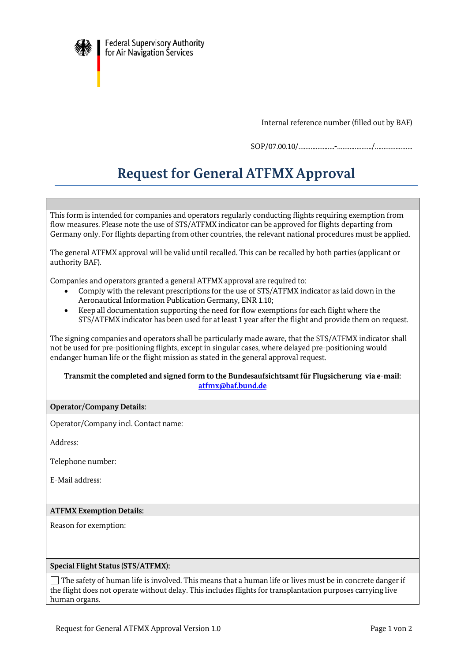

Internal reference number (filled out by BAF)

SOP/07.00.10/…………….…..-………………../…………..……..

# **Request for General ATFMX Approval**

This form is intended for companies and operators regularly conducting flights requiring exemption from flow measures. Please note the use of STS/ATFMX indicator can be approved for flights departing from Germany only. For flights departing from other countries, the relevant national procedures must be applied.

The general ATFMX approval will be valid until recalled. This can be recalled by both parties (applicant or authority BAF).

Companies and operators granted a general ATFMX approval are required to:

- Comply with the relevant prescriptions for the use of STS/ATFMX indicator as laid down in the Aeronautical Information Publication Germany, ENR 1.10;
- Keep all documentation supporting the need for flow exemptions for each flight where the STS/ATFMX indicator has been used for at least 1 year after the flight and provide them on request.

The signing companies and operators shall be particularly made aware, that the STS/ATFMX indicator shall not be used for pre-positioning flights, except in singular cases, where delayed pre-positioning would endanger human life or the flight mission as stated in the general approval request.

### **Transmit the completed and signed form to the Bundesaufsichtsamt für Flugsicherung via e-mail: [atfmx@baf.bund.de](mailto:atfmx@baf.bund.de)**

## **Operator/Company Details:**

Operator/Company incl. Contact name:

Address:

Telephone number:

E-Mail address:

## **ATFMX Exemption Details:**

Reason for exemption:

#### **Special Flight Status (STS/ATFMX):**

 $\Box$  The safety of human life is involved. This means that a human life or lives must be in concrete danger if the flight does not operate without delay. This includes flights for transplantation purposes carrying live human organs.